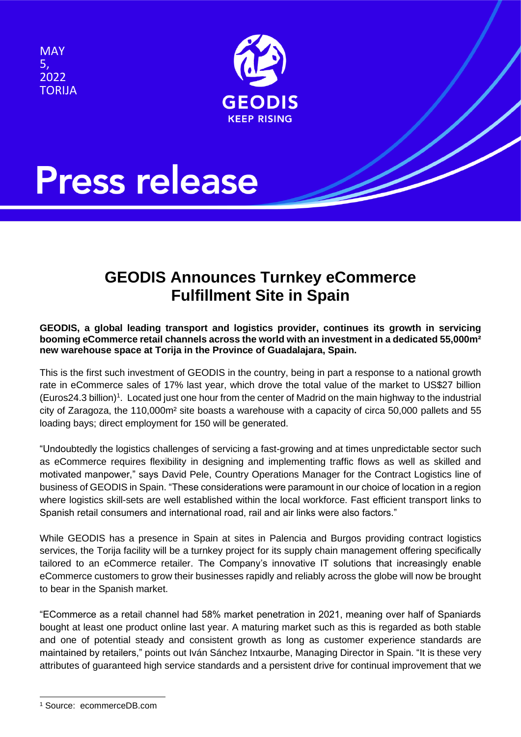**MAY** 5, 2022 TORIJA



# **Press release**

### **GEODIS Announces Turnkey eCommerce Fulfillment Site in Spain**

### **GEODIS, a global leading transport and logistics provider, continues its growth in servicing booming eCommerce retail channels across the world with an investment in a dedicated 55,000m² new warehouse space at Torija in the Province of Guadalajara, Spain.**

This is the first such investment of GEODIS in the country, being in part a response to a national growth rate in eCommerce sales of 17% last year, which drove the total value of the market to US\$27 billion (Euros24.3 billion)<sup>1</sup>. Located just one hour from the center of Madrid on the main highway to the industrial city of Zaragoza, the 110,000m² site boasts a warehouse with a capacity of circa 50,000 pallets and 55 loading bays; direct employment for 150 will be generated.

"Undoubtedly the logistics challenges of servicing a fast-growing and at times unpredictable sector such as eCommerce requires flexibility in designing and implementing traffic flows as well as skilled and motivated manpower," says David Pele, Country Operations Manager for the Contract Logistics line of business of GEODIS in Spain. "These considerations were paramount in our choice of location in a region where logistics skill-sets are well established within the local workforce. Fast efficient transport links to Spanish retail consumers and international road, rail and air links were also factors."

While GEODIS has a presence in Spain at sites in Palencia and Burgos providing contract logistics services, the Torija facility will be a turnkey project for its supply chain management offering specifically tailored to an eCommerce retailer. The Company's innovative IT solutions that increasingly enable eCommerce customers to grow their businesses rapidly and reliably across the globe will now be brought to bear in the Spanish market.

"ECommerce as a retail channel had 58% market penetration in 2021, meaning over half of Spaniards bought at least one product online last year. A maturing market such as this is regarded as both stable and one of potential steady and consistent growth as long as customer experience standards are maintained by retailers," points out Iván Sánchez Intxaurbe, Managing Director in Spain. "It is these very attributes of guaranteed high service standards and a persistent drive for continual improvement that we

<sup>1</sup> Source: ecommerceDB.com